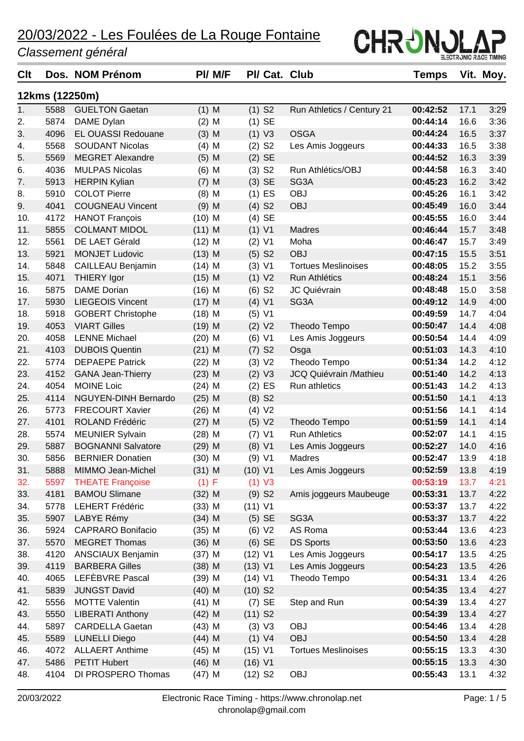| <b>Clt</b> |                | Dos. NOM Prénom             | PI/ M/F  | PI/ Cat. Club         |                               | Temps    |      | Vit. Moy. |
|------------|----------------|-----------------------------|----------|-----------------------|-------------------------------|----------|------|-----------|
|            | 12kms (12250m) |                             |          |                       |                               |          |      |           |
| 1.         | 5588           | <b>GUELTON Gaetan</b>       | $(1)$ M  | $(1)$ S <sub>2</sub>  | Run Athletics / Century 21    | 00:42:52 | 17.1 | 3:29      |
| 2.         | 5874           | DAME Dylan                  | $(2)$ M  | $(1)$ SE              |                               | 00:44:14 | 16.6 | 3:36      |
| 3.         | 4096           | <b>EL OUASSI Redouane</b>   | $(3)$ M  | (1) V3                | <b>OSGA</b>                   | 00:44:24 | 16.5 | 3:37      |
| 4.         | 5568           | <b>SOUDANT Nicolas</b>      | $(4)$ M  | $(2)$ S <sub>2</sub>  | Les Amis Joggeurs             | 00:44:33 | 16.5 | 3:38      |
| 5.         | 5569           | <b>MEGRET Alexandre</b>     | $(5)$ M  | $(2)$ SE              |                               | 00:44:52 | 16.3 | 3:39      |
| 6.         | 4036           | <b>MULPAS Nicolas</b>       | $(6)$ M  | $(3)$ S <sub>2</sub>  | Run Athlétics/OBJ             | 00:44:58 | 16.3 | 3:40      |
| 7.         | 5913           | <b>HERPIN Kylian</b>        | $(7)$ M  | $(3)$ SE              | SG3A                          | 00:45:23 | 16.2 | 3:42      |
| 8.         | 5910           | <b>COLOT Pierre</b>         | $(8)$ M  | $(1)$ ES              | <b>OBJ</b>                    | 00:45:26 | 16.1 | 3:42      |
| 9.         | 4041           | <b>COUGNEAU Vincent</b>     | $(9)$ M  | $(4)$ S <sub>2</sub>  | <b>OBJ</b>                    | 00:45:49 | 16.0 | 3:44      |
| 10.        | 4172           | <b>HANOT François</b>       | $(10)$ M | $(4)$ SE              |                               | 00:45:55 | 16.0 | 3:44      |
| 11.        | 5855           | <b>COLMANT MIDOL</b>        | $(11)$ M | $(1)$ V1              | <b>Madres</b>                 | 00:46:44 | 15.7 | 3:48      |
| 12.        | 5561           | DE LAET Gérald              | $(12)$ M | $(2)$ V1              | Moha                          | 00:46:47 | 15.7 | 3:49      |
| 13.        | 5921           | <b>MONJET Ludovic</b>       | $(13)$ M | $(5)$ S <sub>2</sub>  | <b>OBJ</b>                    | 00:47:15 | 15.5 | 3:51      |
| 14.        | 5848           | CAILLEAU Benjamin           | $(14)$ M | (3) V1                | <b>Tortues Meslinoises</b>    | 00:48:05 | 15.2 | 3:55      |
| 15.        | 4071           | <b>THIERY Igor</b>          | $(15)$ M | (1) V2                | Run Athlétics                 | 00:48:24 | 15.1 | 3:56      |
| 16.        | 5875           | <b>DAME</b> Dorian          | $(16)$ M | $(6)$ S <sub>2</sub>  | JC Quiévrain                  | 00:48:48 | 15.0 | 3:58      |
| 17.        | 5930           | <b>LIEGEOIS Vincent</b>     | $(17)$ M | $(4)$ V1              | SG3A                          | 00:49:12 | 14.9 | 4:00      |
| 18.        | 5918           | <b>GOBERT Christophe</b>    | $(18)$ M | (5) V1                |                               | 00:49:59 | 14.7 | 4:04      |
| 19.        | 4053           | <b>VIART Gilles</b>         | $(19)$ M | (2) V2                | Theodo Tempo                  | 00:50:47 | 14.4 | 4:08      |
| 20.        | 4058           | <b>LENNE Michael</b>        | $(20)$ M | (6) V1                | Les Amis Joggeurs             | 00:50:54 | 14.4 | 4:09      |
| 21.        | 4103           | <b>DUBOIS Quentin</b>       | $(21)$ M | $(7)$ S <sub>2</sub>  | Osga                          | 00:51:03 | 14.3 | 4:10      |
| 22.        | 5774           | <b>DEPAEPE Patrick</b>      | $(22)$ M | (3) V2                | Theodo Tempo                  | 00:51:34 | 14.2 | 4:12      |
| 23.        | 4152           | <b>GANA Jean-Thierry</b>    | $(23)$ M | (2) V3                | <b>JCQ Quiévrain /Mathieu</b> | 00:51:40 | 14.2 | 4:13      |
| 24.        | 4054           | <b>MOINE Loic</b>           | $(24)$ M | $(2)$ ES              | Run athletics                 | 00:51:43 | 14.2 | 4:13      |
| 25.        | 4114           | <b>NGUYEN-DINH Bernardo</b> | $(25)$ M | $(8)$ S <sub>2</sub>  |                               | 00:51:50 | 14.1 | 4:13      |
| 26.        | 5773           | <b>FRECOURT Xavier</b>      | $(26)$ M | (4) V2                |                               | 00:51:56 | 14.1 | 4:14      |
| 27.        | 4101           | <b>ROLAND Frédéric</b>      | $(27)$ M | (5) V2                | Theodo Tempo                  | 00:51:59 | 14.1 | 4:14      |
| 28.        | 5574           | <b>MEUNIER Sylvain</b>      | $(28)$ M | $(7)$ V1              | <b>Run Athletics</b>          | 00:52:07 | 14.1 | 4:15      |
| 29.        | 5887           | <b>BOGNANNI Salvatore</b>   | $(29)$ M | (8) V1                | Les Amis Joggeurs             | 00:52:27 | 14.0 | 4:16      |
| 30.        | 5856           | <b>BERNIER Donatien</b>     | $(30)$ M | (9) V1                | Madres                        | 00:52:47 | 13.9 | 4:18      |
| 31.        | 5888           | MIMMO Jean-Michel           | $(31)$ M | (10) V1               | Les Amis Joggeurs             | 00:52:59 | 13.8 | 4:19      |
| 32.        | 5597           | <b>THEATE Françoise</b>     | (1) F    | $(1)$ V3              |                               | 00:53:19 | 13.7 | 4:21      |
| 33.        | 4181           | <b>BAMOU Slimane</b>        | $(32)$ M | $(9)$ S <sub>2</sub>  | Amis joggeurs Maubeuge        | 00:53:31 | 13.7 | 4:22      |
| 34.        | 5778           | <b>LEHERT Frédéric</b>      | $(33)$ M | (11) V1               |                               | 00:53:37 | 13.7 | 4:22      |
| 35.        | 5907           | LABYE Rémy                  | $(34)$ M | $(5)$ SE              | SG3A                          | 00:53:37 | 13.7 | 4:22      |
| 36.        | 5924           | <b>CAPRARO Bonifacio</b>    | $(35)$ M | (6) V2                | AS Roma                       | 00:53:44 | 13.6 | 4:23      |
| 37.        | 5570           | <b>MEGRET Thomas</b>        | $(36)$ M | $(6)$ SE              | <b>DS Sports</b>              | 00:53:50 | 13.6 | 4:23      |
| 38.        | 4120           | ANSCIAUX Benjamin           | $(37)$ M | $(12)$ V1             | Les Amis Joggeurs             | 00:54:17 | 13.5 | 4:25      |
| 39.        | 4119           | <b>BARBERA Gilles</b>       | $(38)$ M | $(13)$ V1             | Les Amis Joggeurs             | 00:54:23 | 13.5 | 4:26      |
| 40.        | 4065           | LEFEBVRE Pascal             | $(39)$ M | $(14)$ V1             | Theodo Tempo                  | 00:54:31 | 13.4 | 4:26      |
| 41.        | 5839           | <b>JUNGST David</b>         | $(40)$ M | $(10)$ S <sub>2</sub> |                               | 00:54:35 | 13.4 | 4:27      |
| 42.        | 5556           | <b>MOTTE Valentin</b>       | $(41)$ M | $(7)$ SE              | Step and Run                  | 00:54:39 | 13.4 | 4:27      |
| 43.        | 5550           | <b>LIBERATI Anthony</b>     | $(42)$ M | $(11)$ S <sub>2</sub> |                               | 00:54:39 | 13.4 | 4:27      |
| 44.        | 5897           | <b>CARDELLA Gaetan</b>      | $(43)$ M | (3) V3                | OBJ                           | 00:54:46 | 13.4 | 4:28      |
| 45.        | 5589           | <b>LUNELLI Diego</b>        | $(44)$ M | (1) V4                | <b>OBJ</b>                    | 00:54:50 | 13.4 | 4:28      |
| 46.        | 4072           | <b>ALLAERT Anthime</b>      | $(45)$ M | (15) V1               | <b>Tortues Meslinoises</b>    | 00:55:15 | 13.3 | 4:30      |
| 47.        | 5486           | <b>PETIT Hubert</b>         | $(46)$ M | (16) V1               |                               | 00:55:15 | 13.3 | 4:30      |
| 48.        | 4104           | DI PROSPERO Thomas          | $(47)$ M | $(12)$ S <sub>2</sub> | OBJ                           | 00:55:43 | 13.1 | 4:32      |
|            |                |                             |          |                       |                               |          |      |           |

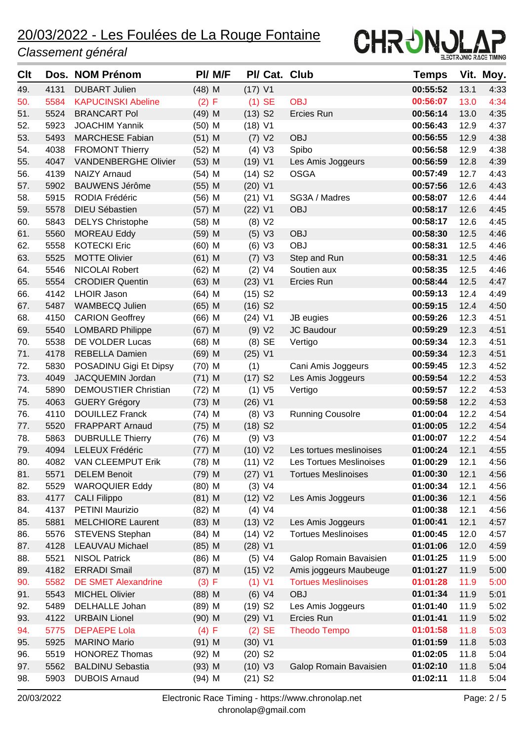

| <b>C</b> It |      | Dos. NOM Prénom             | PI/ M/F  | PI/ Cat. Club         |                            | <b>Temps</b> |      | Vit. Moy. |
|-------------|------|-----------------------------|----------|-----------------------|----------------------------|--------------|------|-----------|
| 49.         | 4131 | <b>DUBART Julien</b>        | $(48)$ M | $(17)$ V1             |                            | 00:55:52     | 13.1 | 4:33      |
| 50.         | 5584 | <b>KAPUCINSKI Abeline</b>   | (2) F    | $(1)$ SE              | <b>OBJ</b>                 | 00:56:07     | 13.0 | 4:34      |
| 51.         | 5524 | <b>BRANCART Pol</b>         | $(49)$ M | $(13)$ S <sub>2</sub> | Ercies Run                 | 00:56:14     | 13.0 | 4:35      |
| 52.         | 5923 | <b>JOACHIM Yannik</b>       | $(50)$ M | $(18)$ V1             |                            | 00:56:43     | 12.9 | 4:37      |
| 53.         | 5493 | <b>MARCHESE Fabian</b>      | $(51)$ M | (7) V2                | <b>OBJ</b>                 | 00:56:55     | 12.9 | 4:38      |
| 54.         | 4038 | <b>FROMONT Thierry</b>      | $(52)$ M | (4) V3                | Spibo                      | 00:56:58     | 12.9 | 4:38      |
| 55.         | 4047 | <b>VANDENBERGHE Olivier</b> | $(53)$ M | (19) V1               | Les Amis Joggeurs          | 00:56:59     | 12.8 | 4:39      |
| 56.         | 4139 | <b>NAIZY Arnaud</b>         | $(54)$ M | $(14)$ S <sub>2</sub> | <b>OSGA</b>                | 00:57:49     | 12.7 | 4:43      |
| 57.         | 5902 | <b>BAUWENS Jérôme</b>       | $(55)$ M | $(20)$ V1             |                            | 00:57:56     | 12.6 | 4:43      |
| 58.         | 5915 | RODIA Frédéric              | $(56)$ M | $(21)$ V1             | SG3A / Madres              | 00:58:07     | 12.6 | 4:44      |
| 59.         | 5578 | <b>DIEU Sébastien</b>       | $(57)$ M | $(22)$ V1             | <b>OBJ</b>                 | 00:58:17     | 12.6 | 4:45      |
| 60.         | 5843 | <b>DELYS Christophe</b>     | $(58)$ M | (8) V2                |                            | 00:58:17     | 12.6 | 4:45      |
| 61.         | 5560 | <b>MOREAU Eddy</b>          | $(59)$ M | (5) V3                | <b>OBJ</b>                 | 00:58:30     | 12.5 | 4:46      |
| 62.         | 5558 | <b>KOTECKI Eric</b>         | $(60)$ M | (6) V3                | <b>OBJ</b>                 | 00:58:31     | 12.5 | 4:46      |
| 63.         | 5525 | <b>MOTTE Olivier</b>        | $(61)$ M | (7) V3                | Step and Run               | 00:58:31     | 12.5 | 4:46      |
| 64.         | 5546 | NICOLAI Robert              | $(62)$ M | (2) V4                | Soutien aux                | 00:58:35     | 12.5 | 4:46      |
| 65.         | 5554 | <b>CRODIER Quentin</b>      | $(63)$ M | $(23)$ V1             | Ercies Run                 | 00:58:44     | 12.5 | 4:47      |
| 66.         | 4142 | <b>LHOIR Jason</b>          | $(64)$ M | $(15)$ S <sub>2</sub> |                            | 00:59:13     | 12.4 | 4:49      |
| 67.         | 5487 | WAMBECQ Julien              | $(65)$ M | $(16)$ S <sub>2</sub> |                            | 00:59:15     | 12.4 | 4:50      |
| 68.         | 4150 | <b>CARION Geoffrey</b>      | $(66)$ M | $(24)$ V1             | JB eugies                  | 00:59:26     | 12.3 | 4.51      |
| 69.         | 5540 | <b>LOMBARD Philippe</b>     | $(67)$ M | (9) V2                | JC Baudour                 | 00:59:29     | 12.3 | 4:51      |
| 70.         | 5538 | DE VOLDER Lucas             | $(68)$ M | $(8)$ SE              | Vertigo                    | 00:59:34     | 12.3 | 4.51      |
| 71.         | 4178 | REBELLA Damien              | $(69)$ M | $(25)$ V1             |                            | 00:59:34     | 12.3 | 4:51      |
| 72.         | 5830 | POSADINU Gigi Et Dipsy      | $(70)$ M | (1)                   | Cani Amis Joggeurs         | 00:59:45     | 12.3 | 4:52      |
| 73.         | 4049 | JACQUEMIN Jordan            | $(71)$ M | $(17)$ S <sub>2</sub> | Les Amis Joggeurs          | 00:59:54     | 12.2 | 4:53      |
| 74.         | 5890 | <b>DEMOUSTIER Christian</b> | $(72)$ M | (1) V5                | Vertigo                    | 00:59:57     | 12.2 | 4:53      |
| 75.         | 4063 | <b>GUERY Grégory</b>        | $(73)$ M | $(26)$ V1             |                            | 00:59:58     | 12.2 | 4:53      |
| 76.         | 4110 | <b>DOUILLEZ Franck</b>      | $(74)$ M | (8) V3                | <b>Running Cousolre</b>    | 01:00:04     | 12.2 | 4:54      |
| 77.         | 5520 | <b>FRAPPART Arnaud</b>      | $(75)$ M | $(18)$ S <sub>2</sub> |                            | 01:00:05     | 12.2 | 4:54      |
| 78.         | 5863 | <b>DUBRULLE Thierry</b>     | $(76)$ M | (9) V3                |                            | 01:00:07     | 12.2 | 4:54      |
| 79.         | 4094 | LELEUX Frédéric             | $(77)$ M | (10) V2               | Les tortues meslinoises    | 01:00:24     | 12.1 | 4:55      |
| 80.         |      | 4082 VAN CLEEMPUT Erik      | $(78)$ M | (11) V2               | Les Tortues Meslinoises    | 01:00:29     | 12.1 | 4:56      |
| 81.         | 5571 | <b>DELEM Benoit</b>         | $(79)$ M | $(27)$ V1             | <b>Tortues Meslinoises</b> | 01:00:30     | 12.1 | 4:56      |
| 82.         | 5529 | <b>WAROQUIER Eddy</b>       | $(80)$ M | (3) V4                |                            | 01:00:34     | 12.1 | 4:56      |
| 83.         | 4177 | <b>CALI Filippo</b>         | $(81)$ M | (12) V2               | Les Amis Joggeurs          | 01:00:36     | 12.1 | 4:56      |
| 84.         | 4137 | <b>PETINI Maurizio</b>      | $(82)$ M | (4) V4                |                            | 01:00:38     | 12.1 | 4:56      |
| 85.         | 5881 | <b>MELCHIORE Laurent</b>    | $(83)$ M | (13) V2               | Les Amis Joggeurs          | 01:00:41     | 12.1 | 4:57      |
| 86.         | 5576 | STEVENS Stephan             | $(84)$ M | (14) V2               | <b>Tortues Meslinoises</b> | 01:00:45     | 12.0 | 4:57      |
| 87.         | 4128 | <b>LEAUVAU Michael</b>      | $(85)$ M | $(28)$ V1             |                            | 01:01:06     | 12.0 | 4:59      |
| 88.         | 5521 | <b>NISOL Patrick</b>        | $(86)$ M | (5) V4                | Galop Romain Bavaisien     | 01:01:25     | 11.9 | 5:00      |
| 89.         | 4182 | <b>ERRADI Smail</b>         | $(87)$ M | (15) V2               | Amis joggeurs Maubeuge     | 01:01:27     | 11.9 | 5:00      |
| 90.         | 5582 | <b>DE SMET Alexandrine</b>  | (3) F    | $(1)$ V1              | <b>Tortues Meslinoises</b> | 01:01:28     | 11.9 | 5:00      |
| 91.         | 5543 | <b>MICHEL Olivier</b>       | $(88)$ M | (6) V4                | <b>OBJ</b>                 | 01:01:34     | 11.9 | 5:01      |
| 92.         | 5489 | DELHALLE Johan              | $(89)$ M | $(19)$ S <sub>2</sub> | Les Amis Joggeurs          | 01:01:40     | 11.9 | 5:02      |
| 93.         | 4122 | <b>URBAIN Lionel</b>        | $(90)$ M | $(29)$ V1             | Ercies Run                 | 01:01:41     | 11.9 | 5:02      |
| 94.         | 5775 | <b>DEPAEPE Lola</b>         | (4) F    | $(2)$ SE              | <b>Theodo Tempo</b>        | 01:01:58     | 11.8 | 5:03      |
| 95.         | 5925 | <b>MARINO Mario</b>         | $(91)$ M | $(30)$ V1             |                            | 01:01:59     | 11.8 | 5:03      |
| 96.         | 5519 | <b>HONOREZ Thomas</b>       | $(92)$ M | $(20)$ S <sub>2</sub> |                            | 01:02:05     | 11.8 | 5:04      |
| 97.         | 5562 | <b>BALDINU Sebastia</b>     | $(93)$ M | (10) V3               | Galop Romain Bavaisien     | 01:02:10     | 11.8 | 5:04      |
| 98.         | 5903 | <b>DUBOIS Arnaud</b>        | $(94)$ M | $(21)$ S <sub>2</sub> |                            | 01:02:11     | 11.8 | 5:04      |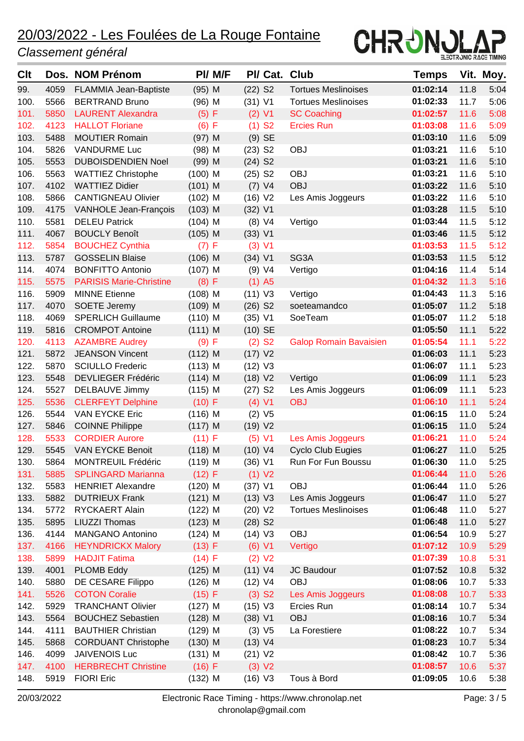

| Clt  |      | Dos. NOM Prénom                | PI/ M/F   |                       |                      | PI/ Cat. Club                 | Temps    |      | Vit. Moy. |
|------|------|--------------------------------|-----------|-----------------------|----------------------|-------------------------------|----------|------|-----------|
| 99.  | 4059 | FLAMMIA Jean-Baptiste          | $(95)$ M  | $(22)$ S <sub>2</sub> |                      | <b>Tortues Meslinoises</b>    | 01:02:14 | 11.8 | 5:04      |
| 100. | 5566 | <b>BERTRAND Bruno</b>          | $(96)$ M  | $(31)$ V1             |                      | <b>Tortues Meslinoises</b>    | 01:02:33 | 11.7 | 5:06      |
| 101. | 5850 | <b>LAURENT Alexandra</b>       | (5) F     |                       | $(2)$ V1             | <b>SC Coaching</b>            | 01:02:57 | 11.6 | 5:08      |
| 102. | 4123 | <b>HALLOT Floriane</b>         | (6) F     |                       | $(1)$ S <sub>2</sub> | <b>Ercies Run</b>             | 01:03:08 | 11.6 | 5:09      |
| 103. | 5488 | <b>MOUTIER Romain</b>          | $(97)$ M  |                       | $(9)$ SE             |                               | 01:03:10 | 11.6 | 5:09      |
| 104. | 5826 | <b>VANDURME Luc</b>            | $(98)$ M  | $(23)$ S <sub>2</sub> |                      | <b>OBJ</b>                    | 01:03:21 | 11.6 | 5:10      |
| 105. | 5553 | <b>DUBOISDENDIEN Noel</b>      | $(99)$ M  | $(24)$ S <sub>2</sub> |                      |                               | 01:03:21 | 11.6 | 5:10      |
| 106. | 5563 | <b>WATTIEZ Christophe</b>      | $(100)$ M | $(25)$ S <sub>2</sub> |                      | <b>OBJ</b>                    | 01:03:21 | 11.6 | 5:10      |
| 107. | 4102 | <b>WATTIEZ Didier</b>          | $(101)$ M |                       | (7) V4               | <b>OBJ</b>                    | 01:03:22 | 11.6 | 5:10      |
| 108. | 5866 | <b>CANTIGNEAU Olivier</b>      | $(102)$ M | (16) V2               |                      | Les Amis Joggeurs             | 01:03:22 | 11.6 | 5:10      |
| 109. | 4175 | VANHOLE Jean-François          | $(103)$ M | $(32)$ V1             |                      |                               | 01:03:28 | 11.5 | 5:10      |
| 110. | 5581 | <b>DELEU Patrick</b>           | $(104)$ M |                       | (8) V4               | Vertigo                       | 01:03:44 | 11.5 | 5:12      |
| 111. | 4067 | <b>BOUCLY Benoît</b>           | $(105)$ M | (33) V1               |                      |                               | 01:03:46 | 11.5 | 5:12      |
| 112. | 5854 | <b>BOUCHEZ Cynthia</b>         | (7) F     |                       | (3) V1               |                               | 01:03:53 | 11.5 | 5:12      |
| 113. | 5787 | <b>GOSSELIN Blaise</b>         | $(106)$ M | $(34)$ V1             |                      | SG3A                          | 01:03:53 | 11.5 | 5:12      |
| 114. | 4074 | <b>BONFITTO Antonio</b>        | $(107)$ M |                       | (9) V4               | Vertigo                       | 01:04:16 | 11.4 | 5:14      |
| 115. | 5575 | <b>PARISIS Marie-Christine</b> | (8) F     |                       | $(1)$ A5             |                               | 01:04:32 | 11.3 | 5:16      |
| 116. | 5909 | <b>MINNE Etienne</b>           | $(108)$ M | $(11)$ V3             |                      | Vertigo                       | 01:04:43 | 11.3 | 5:16      |
| 117. | 4070 | <b>SOETE Jeremy</b>            | $(109)$ M | $(26)$ S <sub>2</sub> |                      | soeteamandco                  | 01:05:07 | 11.2 | 5:18      |
| 118. | 4069 | <b>SPERLICH Guillaume</b>      | $(110)$ M | $(35)$ V1             |                      | SoeTeam                       | 01:05:07 | 11.2 | 5:18      |
| 119. | 5816 | <b>CROMPOT Antoine</b>         | $(111)$ M | $(10)$ SE             |                      |                               | 01:05:50 | 11.1 | 5:22      |
| 120. | 4113 | <b>AZAMBRE Audrey</b>          | (9) F     |                       | $(2)$ S <sub>2</sub> | <b>Galop Romain Bavaisien</b> | 01:05:54 | 11.1 | 5:22      |
| 121. | 5872 | <b>JEANSON Vincent</b>         | $(112)$ M | (17) V2               |                      |                               | 01:06:03 | 11.1 | 5:23      |
| 122. | 5870 | <b>SCIULLO Frederic</b>        | $(113)$ M | (12) V3               |                      |                               | 01:06:07 | 11.1 | 5:23      |
| 123. | 5548 | <b>DEVLIEGER Frédéric</b>      | $(114)$ M | (18) V2               |                      | Vertigo                       | 01:06:09 | 11.1 | 5:23      |
| 124. | 5527 | DELBAUVE Jimmy                 | $(115)$ M | $(27)$ S <sub>2</sub> |                      | Les Amis Joggeurs             | 01:06:09 | 11.1 | 5:23      |
| 125. | 5536 | <b>CLERFEYT Delphine</b>       | (10) F    | (4) V1                |                      | <b>OBJ</b>                    | 01:06:10 | 11.1 | 5:24      |
| 126. | 5544 | <b>VAN EYCKE Eric</b>          | $(116)$ M |                       | (2) V5               |                               | 01:06:15 | 11.0 | 5:24      |
| 127. | 5846 | <b>COINNE Philippe</b>         | $(117)$ M | (19) V2               |                      |                               | 01:06:15 | 11.0 | 5:24      |
| 128. | 5533 | <b>CORDIER Aurore</b>          | (11) F    |                       | $(5)$ V1             | Les Amis Joggeurs             | 01:06:21 | 11.0 | 5:24      |
| 129. | 5545 | <b>VAN EYCKE Benoit</b>        | $(118)$ M | (10) V4               |                      | <b>Cyclo Club Eugies</b>      | 01:06:27 | 11.0 | 5:25      |
| 130. | 5864 | MONTREUIL Frédéric             | $(119)$ M | $(36)$ V1             |                      | Run For Fun Boussu            | 01:06:30 | 11.0 | 5:25      |
| 131. | 5885 | <b>SPLINGARD Marianna</b>      | (12) F    |                       | (1) V2               |                               | 01:06:44 | 11.0 | 5:26      |
| 132. | 5583 | <b>HENRIET Alexandre</b>       | $(120)$ M | $(37)$ V1             |                      | OBJ                           | 01:06:44 | 11.0 | 5:26      |
| 133. | 5882 | <b>DUTRIEUX Frank</b>          | $(121)$ M | (13) V3               |                      | Les Amis Joggeurs             | 01:06:47 | 11.0 | 5:27      |
| 134. | 5772 | RYCKAERT Alain                 | $(122)$ M | (20) V2               |                      | <b>Tortues Meslinoises</b>    | 01:06:48 | 11.0 | 5:27      |
| 135. | 5895 | <b>LIUZZI Thomas</b>           | $(123)$ M | $(28)$ S <sub>2</sub> |                      |                               | 01:06:48 | 11.0 | 5:27      |
| 136. | 4144 | <b>MANGANO Antonino</b>        | $(124)$ M | $(14)$ V3             |                      | <b>OBJ</b>                    | 01:06:54 | 10.9 | 5:27      |
| 137. | 4166 | <b>HEYNDRICKX Malory</b>       | (13) F    |                       | (6) V1               | Vertigo                       | 01:07:12 | 10.9 | 5:29      |
| 138. | 5899 | <b>HADJIT Fatima</b>           | (14) F    |                       | (2) V2               |                               | 01:07:39 | 10.8 | 5:31      |
| 139. | 4001 | <b>PLOMB Eddy</b>              | $(125)$ M | (11) V4               |                      | JC Baudour                    | 01:07:52 | 10.8 | 5:32      |
| 140. | 5880 | DE CESARE Filippo              | $(126)$ M | $(12)$ V4             |                      | OBJ                           | 01:08:06 | 10.7 | 5:33      |
| 141. | 5526 | <b>COTON Coralie</b>           | (15) F    |                       | $(3)$ S <sub>2</sub> | Les Amis Joggeurs             | 01:08:08 | 10.7 | 5:33      |
| 142. | 5929 | <b>TRANCHANT Olivier</b>       | $(127)$ M | (15) V3               |                      | Ercies Run                    | 01:08:14 | 10.7 | 5:34      |
| 143. | 5564 | <b>BOUCHEZ Sebastien</b>       | $(128)$ M | (38) V1               |                      | <b>OBJ</b>                    | 01:08:16 | 10.7 | 5:34      |
| 144. | 4111 | <b>BAUTHIER Christian</b>      | $(129)$ M |                       | (3) V5               | La Forestiere                 | 01:08:22 | 10.7 | 5:34      |
| 145. | 5868 | <b>CORDUANT Christophe</b>     | $(130)$ M | (13) V4               |                      |                               | 01:08:23 | 10.7 | 5:34      |
| 146. | 4099 | <b>JAIVENOIS Luc</b>           | $(131)$ M | (21) V2               |                      |                               | 01:08:42 | 10.7 | 5:36      |
| 147. | 4100 | <b>HERBRECHT Christine</b>     | (16) F    |                       | (3) V2               |                               | 01:08:57 | 10.6 | 5:37      |
| 148. | 5919 | <b>FIORI Eric</b>              | $(132)$ M | (16) V3               |                      | Tous à Bord                   | 01:09:05 | 10.6 | 5:38      |
|      |      |                                |           |                       |                      |                               |          |      |           |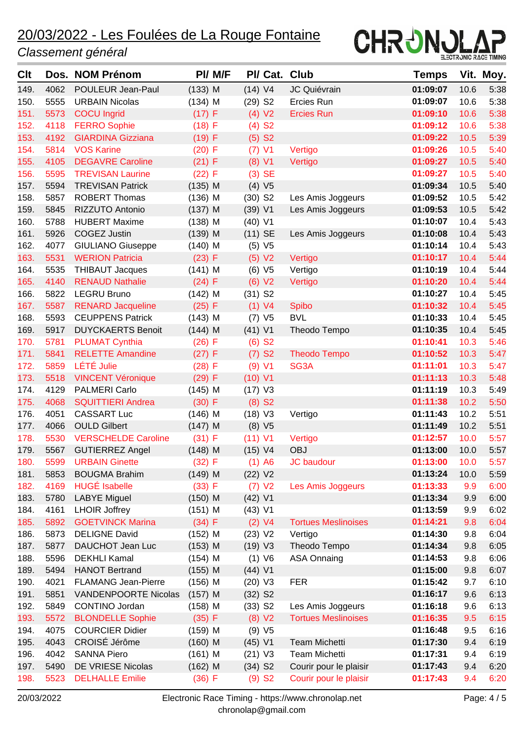

| <b>Clt</b> |      | Dos. NOM Prénom             |           | PI/ M/F |                       |                      | PI/ Cat. Club              | Temps    |      | Vit. Moy. |
|------------|------|-----------------------------|-----------|---------|-----------------------|----------------------|----------------------------|----------|------|-----------|
| 149.       | 4062 | POULEUR Jean-Paul           | $(133)$ M |         | (14) V4               |                      | JC Quiévrain               | 01:09:07 | 10.6 | 5:38      |
| 150.       | 5555 | <b>URBAIN Nicolas</b>       | $(134)$ M |         | $(29)$ S <sub>2</sub> |                      | Ercies Run                 | 01:09:07 | 10.6 | 5:38      |
| 151.       | 5573 | <b>COCU</b> Ingrid          | (17) F    |         |                       | (4) V2               | <b>Ercies Run</b>          | 01:09:10 | 10.6 | 5:38      |
| 152.       | 4118 | <b>FERRO Sophie</b>         | $(18)$ F  |         |                       | $(4)$ S <sub>2</sub> |                            | 01:09:12 | 10.6 | 5:38      |
| 153.       | 4192 | <b>GIARDINA Gizziana</b>    | (19) F    |         |                       | $(5)$ S <sub>2</sub> |                            | 01:09:22 | 10.5 | 5:39      |
| 154.       | 5814 | <b>VOS Karine</b>           | $(20)$ F  |         | $(7)$ V1              |                      | Vertigo                    | 01:09:26 | 10.5 | 5:40      |
| 155.       | 4105 | <b>DEGAVRE Caroline</b>     | (21) F    |         | (8) V1                |                      | Vertigo                    | 01:09:27 | 10.5 | 5:40      |
| 156.       | 5595 | <b>TREVISAN Laurine</b>     | (22) F    |         |                       | $(3)$ SE             |                            | 01:09:27 | 10.5 | 5:40      |
| 157.       | 5594 | <b>TREVISAN Patrick</b>     | $(135)$ M |         | (4) V5                |                      |                            | 01:09:34 | 10.5 | 5:40      |
| 158.       | 5857 | <b>ROBERT Thomas</b>        | $(136)$ M |         | $(30)$ S <sub>2</sub> |                      | Les Amis Joggeurs          | 01:09:52 | 10.5 | 5:42      |
| 159.       | 5845 | RIZZUTO Antonio             | $(137)$ M |         | (39) V1               |                      | Les Amis Joggeurs          | 01:09:53 | 10.5 | 5:42      |
| 160.       | 5788 | <b>HUBERT Maxime</b>        | $(138)$ M |         | $(40)$ V1             |                      |                            | 01:10:07 | 10.4 | 5:43      |
| 161.       | 5926 | <b>COGEZ Justin</b>         | $(139)$ M |         | $(11)$ SE             |                      | Les Amis Joggeurs          | 01:10:08 | 10.4 | 5:43      |
| 162.       | 4077 | <b>GIULIANO Giuseppe</b>    | $(140)$ M |         |                       | (5) V5               |                            | 01:10:14 | 10.4 | 5:43      |
| 163.       | 5531 | <b>WERION Patricia</b>      | (23) F    |         | (5) V2                |                      | Vertigo                    | 01:10:17 | 10.4 | 5:44      |
| 164.       | 5535 | <b>THIBAUT Jacques</b>      | $(141)$ M |         |                       | (6) V5               | Vertigo                    | 01:10:19 | 10.4 | 5:44      |
| 165.       | 4140 | <b>RENAUD Nathalie</b>      | (24) F    |         | (6) V2                |                      | Vertigo                    | 01:10:20 | 10.4 | 5:44      |
| 166.       | 5822 | <b>LEGRU Bruno</b>          | $(142)$ M |         | $(31)$ S <sub>2</sub> |                      |                            | 01:10:27 | 10.4 | 5:45      |
| 167.       | 5587 | <b>RENARD Jacqueline</b>    | $(25)$ F  |         | (1) V4                |                      | <b>Spibo</b>               | 01:10:32 | 10.4 | 5:45      |
| 168.       | 5593 | <b>CEUPPENS Patrick</b>     | $(143)$ M |         | (7) V5                |                      | <b>BVL</b>                 | 01:10:33 | 10.4 | 5:45      |
| 169.       | 5917 | <b>DUYCKAERTS Benoit</b>    | $(144)$ M |         | $(41)$ V1             |                      | Theodo Tempo               | 01:10:35 | 10.4 | 5:45      |
| 170.       | 5781 | <b>PLUMAT Cynthia</b>       | $(26)$ F  |         |                       | $(6)$ S <sub>2</sub> |                            | 01:10:41 | 10.3 | 5:46      |
| 171.       | 5841 | <b>RELETTE Amandine</b>     | (27) F    |         |                       | $(7)$ S <sub>2</sub> | <b>Theodo Tempo</b>        | 01:10:52 | 10.3 | 5:47      |
| 172.       | 5859 | <b>LÉTÉ Julie</b>           | (28) F    |         | (9) V1                |                      | SG3A                       | 01:11:01 | 10.3 | 5:47      |
| 173.       | 5518 | <b>VINCENT Véronique</b>    | (29) F    |         | $(10)$ V1             |                      |                            | 01:11:13 | 10.3 | 5:48      |
| 174.       | 4129 | <b>PALMERI Carlo</b>        | $(145)$ M |         | $(17)$ V3             |                      |                            | 01:11:19 | 10.3 | 5:49      |
| 175.       | 4068 | <b>SQUITTIERI Andrea</b>    | $(30)$ F  |         | $(8)$ S <sub>2</sub>  |                      |                            | 01:11:38 | 10.2 | 5:50      |
| 176.       | 4051 | <b>CASSART Luc</b>          | $(146)$ M |         | (18) V3               |                      | Vertigo                    | 01:11:43 | 10.2 | 5:51      |
| 177.       | 4066 | <b>OULD Gilbert</b>         | $(147)$ M |         | (8) V5                |                      |                            | 01:11:49 | 10.2 | 5:51      |
| 178.       | 5530 | <b>VERSCHELDE Caroline</b>  | (31) F    |         | (11) V1               |                      | Vertigo                    | 01:12:57 | 10.0 | 5:57      |
| 179.       | 5567 | <b>GUTIERREZ Angel</b>      | $(148)$ M |         | (15) V4               |                      | <b>OBJ</b>                 | 01:13:00 | 10.0 | 5:57      |
| 180.       | 5599 | <b>URBAIN Ginette</b>       | (32) F    |         | $(1)$ A6              |                      | JC baudour                 | 01:13:00 | 10.0 | 5:57      |
| 181.       | 5853 | <b>BOUGMA Brahim</b>        | $(149)$ M |         | (22) V2               |                      |                            | 01:13:24 | 10.0 | 5:59      |
| 182.       | 4169 | <b>HUGÉ Isabelle</b>        | (33) F    |         | (7) V2                |                      | Les Amis Joggeurs          | 01:13:33 | 9.9  | 6:00      |
| 183.       | 5780 | <b>LABYE Miguel</b>         | $(150)$ M |         | $(42)$ V1             |                      |                            | 01:13:34 | 9.9  | 6:00      |
| 184.       | 4161 | <b>LHOIR Joffrey</b>        | $(151)$ M |         | $(43)$ V1             |                      |                            | 01:13:59 | 9.9  | 6:02      |
| 185.       | 5892 | <b>GOETVINCK Marina</b>     | (34) F    |         | $(2)$ V4              |                      | <b>Tortues Meslinoises</b> | 01:14:21 | 9.8  | 6:04      |
| 186.       | 5873 | <b>DELIGNE David</b>        | $(152)$ M |         | (23) V2               |                      | Vertigo                    | 01:14:30 | 9.8  | 6:04      |
| 187.       | 5877 | DAUCHOT Jean Luc            | $(153)$ M |         | (19) V3               |                      | Theodo Tempo               | 01:14:34 | 9.8  | 6:05      |
| 188.       | 5596 | <b>DEKHLI Kamal</b>         | $(154)$ M |         | (1) V6                |                      | <b>ASA Onnaing</b>         | 01:14:53 | 9.8  | 6:06      |
| 189.       | 5494 | <b>HANOT Bertrand</b>       | $(155)$ M |         | $(44)$ V1             |                      |                            | 01:15:00 | 9.8  | 6:07      |
| 190.       | 4021 | <b>FLAMANG Jean-Pierre</b>  | $(156)$ M |         | (20) V3               |                      | <b>FER</b>                 | 01:15:42 | 9.7  | 6:10      |
| 191.       | 5851 | <b>VANDENPOORTE Nicolas</b> | $(157)$ M |         | $(32)$ S <sub>2</sub> |                      |                            | 01:16:17 | 9.6  | 6:13      |
| 192.       | 5849 | CONTINO Jordan              | $(158)$ M |         | $(33)$ S <sub>2</sub> |                      | Les Amis Joggeurs          | 01:16:18 | 9.6  | 6:13      |
| 193.       | 5572 | <b>BLONDELLE Sophie</b>     | (35) F    |         | (8) V2                |                      | <b>Tortues Meslinoises</b> | 01:16:35 | 9.5  | 6:15      |
| 194.       | 4075 | <b>COURCIER Didier</b>      | $(159)$ M |         | (9) V5                |                      |                            | 01:16:48 | 9.5  | 6:16      |
| 195.       | 4043 | CROISÉ Jérôme               | $(160)$ M |         | $(45)$ V1             |                      | <b>Team Michetti</b>       | 01:17:30 | 9.4  | 6:19      |
| 196.       | 4042 | <b>SANNA Piero</b>          | $(161)$ M |         | $(21)$ V3             |                      | <b>Team Michetti</b>       | 01:17:31 | 9.4  | 6:19      |
| 197.       | 5490 | DE VRIESE Nicolas           | $(162)$ M |         | $(34)$ S <sub>2</sub> |                      | Courir pour le plaisir     | 01:17:43 | 9.4  | 6:20      |
| 198.       | 5523 | <b>DELHALLE Emilie</b>      | (36) F    |         |                       | $(9)$ S <sub>2</sub> | Courir pour le plaisir     | 01:17:43 | 9.4  | 6:20      |